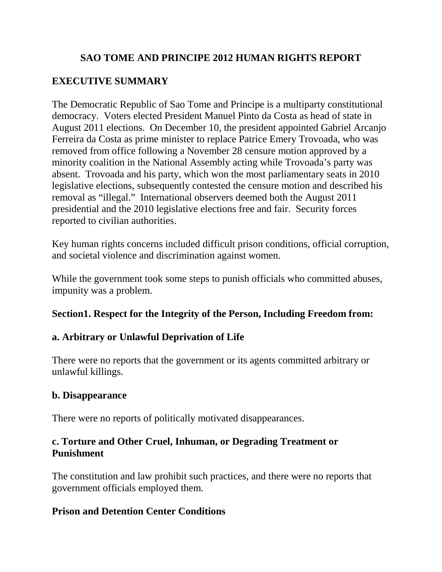## **SAO TOME AND PRINCIPE 2012 HUMAN RIGHTS REPORT**

# **EXECUTIVE SUMMARY**

The Democratic Republic of Sao Tome and Principe is a multiparty constitutional democracy. Voters elected President Manuel Pinto da Costa as head of state in August 2011 elections. On December 10, the president appointed Gabriel Arcanjo Ferreira da Costa as prime minister to replace Patrice Emery Trovoada, who was removed from office following a November 28 censure motion approved by a minority coalition in the National Assembly acting while Trovoada's party was absent. Trovoada and his party, which won the most parliamentary seats in 2010 legislative elections, subsequently contested the censure motion and described his removal as "illegal." International observers deemed both the August 2011 presidential and the 2010 legislative elections free and fair. Security forces reported to civilian authorities.

Key human rights concerns included difficult prison conditions, official corruption, and societal violence and discrimination against women.

While the government took some steps to punish officials who committed abuses, impunity was a problem.

## **Section1. Respect for the Integrity of the Person, Including Freedom from:**

# **a. Arbitrary or Unlawful Deprivation of Life**

There were no reports that the government or its agents committed arbitrary or unlawful killings.

## **b. Disappearance**

There were no reports of politically motivated disappearances.

## **c. Torture and Other Cruel, Inhuman, or Degrading Treatment or Punishment**

The constitution and law prohibit such practices, and there were no reports that government officials employed them.

## **Prison and Detention Center Conditions**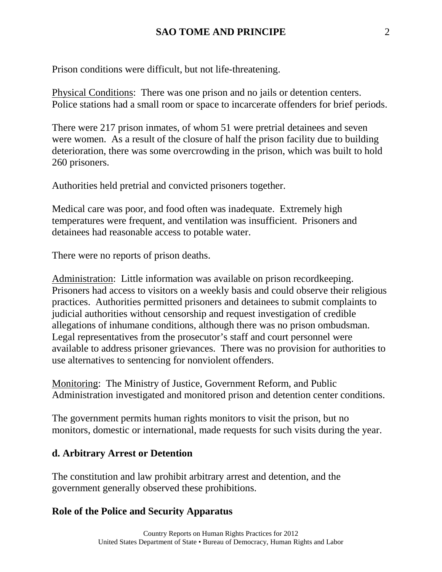Prison conditions were difficult, but not life-threatening.

Physical Conditions: There was one prison and no jails or detention centers. Police stations had a small room or space to incarcerate offenders for brief periods.

There were 217 prison inmates, of whom 51 were pretrial detainees and seven were women. As a result of the closure of half the prison facility due to building deterioration, there was some overcrowding in the prison, which was built to hold 260 prisoners.

Authorities held pretrial and convicted prisoners together.

Medical care was poor, and food often was inadequate. Extremely high temperatures were frequent, and ventilation was insufficient. Prisoners and detainees had reasonable access to potable water.

There were no reports of prison deaths.

Administration: Little information was available on prison recordkeeping. Prisoners had access to visitors on a weekly basis and could observe their religious practices. Authorities permitted prisoners and detainees to submit complaints to judicial authorities without censorship and request investigation of credible allegations of inhumane conditions, although there was no prison ombudsman. Legal representatives from the prosecutor's staff and court personnel were available to address prisoner grievances. There was no provision for authorities to use alternatives to sentencing for nonviolent offenders.

Monitoring: The Ministry of Justice, Government Reform, and Public Administration investigated and monitored prison and detention center conditions.

The government permits human rights monitors to visit the prison, but no monitors, domestic or international, made requests for such visits during the year.

## **d. Arbitrary Arrest or Detention**

The constitution and law prohibit arbitrary arrest and detention, and the government generally observed these prohibitions.

## **Role of the Police and Security Apparatus**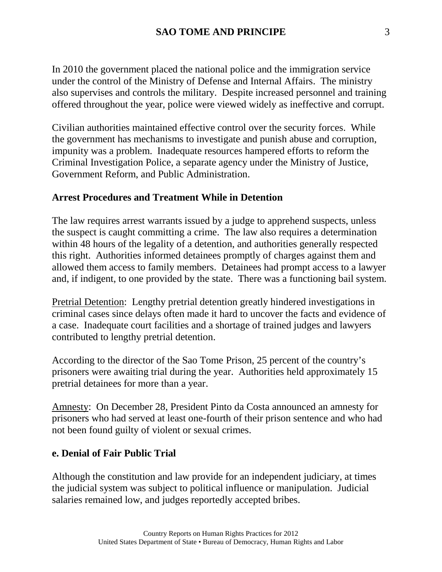In 2010 the government placed the national police and the immigration service under the control of the Ministry of Defense and Internal Affairs. The ministry also supervises and controls the military. Despite increased personnel and training offered throughout the year, police were viewed widely as ineffective and corrupt.

Civilian authorities maintained effective control over the security forces. While the government has mechanisms to investigate and punish abuse and corruption, impunity was a problem. Inadequate resources hampered efforts to reform the Criminal Investigation Police, a separate agency under the Ministry of Justice, Government Reform, and Public Administration.

#### **Arrest Procedures and Treatment While in Detention**

The law requires arrest warrants issued by a judge to apprehend suspects, unless the suspect is caught committing a crime. The law also requires a determination within 48 hours of the legality of a detention, and authorities generally respected this right. Authorities informed detainees promptly of charges against them and allowed them access to family members. Detainees had prompt access to a lawyer and, if indigent, to one provided by the state. There was a functioning bail system.

Pretrial Detention: Lengthy pretrial detention greatly hindered investigations in criminal cases since delays often made it hard to uncover the facts and evidence of a case. Inadequate court facilities and a shortage of trained judges and lawyers contributed to lengthy pretrial detention.

According to the director of the Sao Tome Prison, 25 percent of the country's prisoners were awaiting trial during the year. Authorities held approximately 15 pretrial detainees for more than a year.

Amnesty: On December 28, President Pinto da Costa announced an amnesty for prisoners who had served at least one-fourth of their prison sentence and who had not been found guilty of violent or sexual crimes.

#### **e. Denial of Fair Public Trial**

Although the constitution and law provide for an independent judiciary, at times the judicial system was subject to political influence or manipulation. Judicial salaries remained low, and judges reportedly accepted bribes.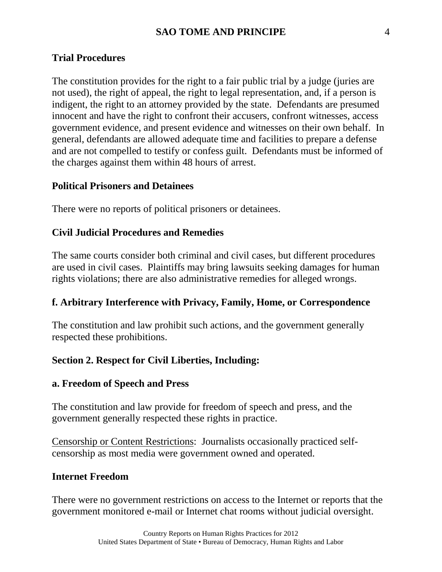#### **Trial Procedures**

The constitution provides for the right to a fair public trial by a judge (juries are not used), the right of appeal, the right to legal representation, and, if a person is indigent, the right to an attorney provided by the state. Defendants are presumed innocent and have the right to confront their accusers, confront witnesses, access government evidence, and present evidence and witnesses on their own behalf. In general, defendants are allowed adequate time and facilities to prepare a defense and are not compelled to testify or confess guilt. Defendants must be informed of the charges against them within 48 hours of arrest.

#### **Political Prisoners and Detainees**

There were no reports of political prisoners or detainees.

#### **Civil Judicial Procedures and Remedies**

The same courts consider both criminal and civil cases, but different procedures are used in civil cases. Plaintiffs may bring lawsuits seeking damages for human rights violations; there are also administrative remedies for alleged wrongs.

#### **f. Arbitrary Interference with Privacy, Family, Home, or Correspondence**

The constitution and law prohibit such actions, and the government generally respected these prohibitions.

#### **Section 2. Respect for Civil Liberties, Including:**

#### **a. Freedom of Speech and Press**

The constitution and law provide for freedom of speech and press, and the government generally respected these rights in practice.

Censorship or Content Restrictions: Journalists occasionally practiced selfcensorship as most media were government owned and operated.

#### **Internet Freedom**

There were no government restrictions on access to the Internet or reports that the government monitored e-mail or Internet chat rooms without judicial oversight.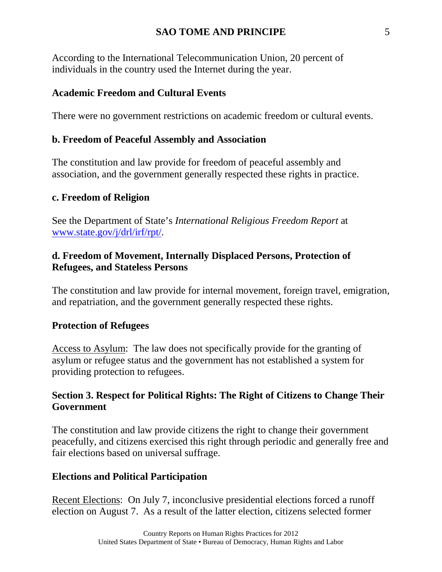#### **SAO TOME AND PRINCIPE** 5

According to the International Telecommunication Union, 20 percent of individuals in the country used the Internet during the year.

#### **Academic Freedom and Cultural Events**

There were no government restrictions on academic freedom or cultural events.

### **b. Freedom of Peaceful Assembly and Association**

The constitution and law provide for freedom of peaceful assembly and association, and the government generally respected these rights in practice.

## **c. Freedom of Religion**

See the Department of State's *International Religious Freedom Report* at [www.state.gov/j/drl/irf/rpt/.](http://www.state.gov/j/drl/irf/rpt/)

## **d. Freedom of Movement, Internally Displaced Persons, Protection of Refugees, and Stateless Persons**

The constitution and law provide for internal movement, foreign travel, emigration, and repatriation, and the government generally respected these rights.

#### **Protection of Refugees**

Access to Asylum: The law does not specifically provide for the granting of asylum or refugee status and the government has not established a system for providing protection to refugees.

## **Section 3. Respect for Political Rights: The Right of Citizens to Change Their Government**

The constitution and law provide citizens the right to change their government peacefully, and citizens exercised this right through periodic and generally free and fair elections based on universal suffrage.

## **Elections and Political Participation**

Recent Elections: On July 7, inconclusive presidential elections forced a runoff election on August 7. As a result of the latter election, citizens selected former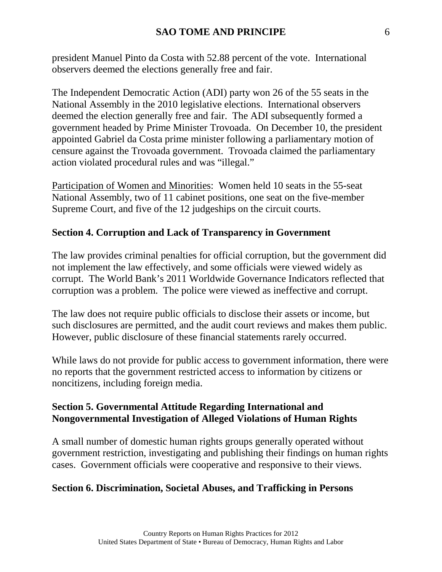president Manuel Pinto da Costa with 52.88 percent of the vote. International observers deemed the elections generally free and fair.

The Independent Democratic Action (ADI) party won 26 of the 55 seats in the National Assembly in the 2010 legislative elections. International observers deemed the election generally free and fair. The ADI subsequently formed a government headed by Prime Minister Trovoada. On December 10, the president appointed Gabriel da Costa prime minister following a parliamentary motion of censure against the Trovoada government. Trovoada claimed the parliamentary action violated procedural rules and was "illegal."

Participation of Women and Minorities: Women held 10 seats in the 55-seat National Assembly, two of 11 cabinet positions, one seat on the five-member Supreme Court, and five of the 12 judgeships on the circuit courts.

### **Section 4. Corruption and Lack of Transparency in Government**

The law provides criminal penalties for official corruption, but the government did not implement the law effectively, and some officials were viewed widely as corrupt. The World Bank's 2011 Worldwide Governance Indicators reflected that corruption was a problem. The police were viewed as ineffective and corrupt.

The law does not require public officials to disclose their assets or income, but such disclosures are permitted, and the audit court reviews and makes them public. However, public disclosure of these financial statements rarely occurred.

While laws do not provide for public access to government information, there were no reports that the government restricted access to information by citizens or noncitizens, including foreign media.

### **Section 5. Governmental Attitude Regarding International and Nongovernmental Investigation of Alleged Violations of Human Rights**

A small number of domestic human rights groups generally operated without government restriction, investigating and publishing their findings on human rights cases. Government officials were cooperative and responsive to their views.

#### **Section 6. Discrimination, Societal Abuses, and Trafficking in Persons**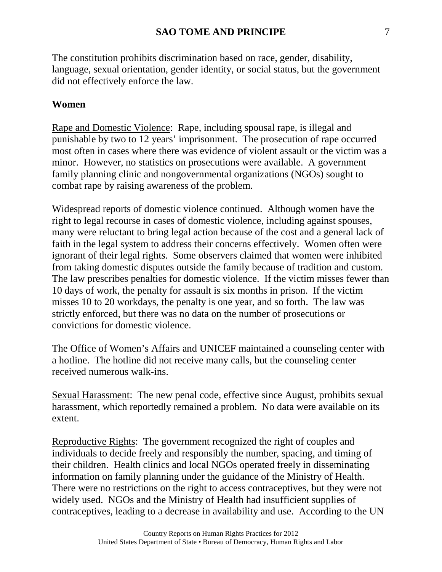The constitution prohibits discrimination based on race, gender, disability, language, sexual orientation, gender identity, or social status, but the government did not effectively enforce the law.

## **Women**

Rape and Domestic Violence: Rape, including spousal rape, is illegal and punishable by two to 12 years' imprisonment. The prosecution of rape occurred most often in cases where there was evidence of violent assault or the victim was a minor. However, no statistics on prosecutions were available. A government family planning clinic and nongovernmental organizations (NGOs) sought to combat rape by raising awareness of the problem.

Widespread reports of domestic violence continued. Although women have the right to legal recourse in cases of domestic violence, including against spouses, many were reluctant to bring legal action because of the cost and a general lack of faith in the legal system to address their concerns effectively. Women often were ignorant of their legal rights. Some observers claimed that women were inhibited from taking domestic disputes outside the family because of tradition and custom. The law prescribes penalties for domestic violence. If the victim misses fewer than 10 days of work, the penalty for assault is six months in prison. If the victim misses 10 to 20 workdays, the penalty is one year, and so forth. The law was strictly enforced, but there was no data on the number of prosecutions or convictions for domestic violence.

The Office of Women's Affairs and UNICEF maintained a counseling center with a hotline. The hotline did not receive many calls, but the counseling center received numerous walk-ins.

Sexual Harassment: The new penal code, effective since August, prohibits sexual harassment, which reportedly remained a problem. No data were available on its extent.

Reproductive Rights: The government recognized the right of couples and individuals to decide freely and responsibly the number, spacing, and timing of their children. Health clinics and local NGOs operated freely in disseminating information on family planning under the guidance of the Ministry of Health. There were no restrictions on the right to access contraceptives, but they were not widely used. NGOs and the Ministry of Health had insufficient supplies of contraceptives, leading to a decrease in availability and use. According to the UN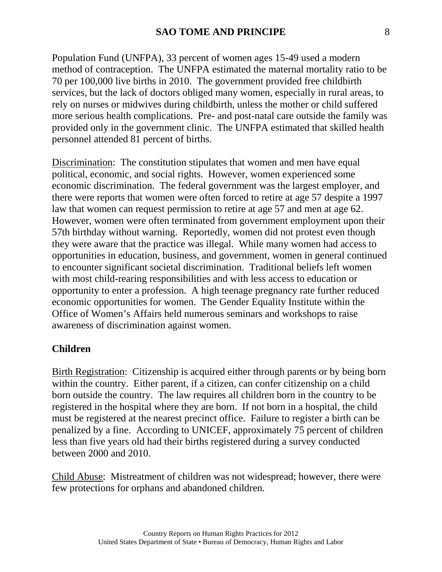Population Fund (UNFPA), 33 percent of women ages 15-49 used a modern method of contraception. The UNFPA estimated the maternal mortality ratio to be 70 per 100,000 live births in 2010. The government provided free childbirth services, but the lack of doctors obliged many women, especially in rural areas, to rely on nurses or midwives during childbirth, unless the mother or child suffered more serious health complications. Pre- and post-natal care outside the family was provided only in the government clinic. The UNFPA estimated that skilled health personnel attended 81 percent of births.

Discrimination: The constitution stipulates that women and men have equal political, economic, and social rights. However, women experienced some economic discrimination. The federal government was the largest employer, and there were reports that women were often forced to retire at age 57 despite a 1997 law that women can request permission to retire at age 57 and men at age 62. However, women were often terminated from government employment upon their 57th birthday without warning. Reportedly, women did not protest even though they were aware that the practice was illegal. While many women had access to opportunities in education, business, and government, women in general continued to encounter significant societal discrimination. Traditional beliefs left women with most child-rearing responsibilities and with less access to education or opportunity to enter a profession. A high teenage pregnancy rate further reduced economic opportunities for women. The Gender Equality Institute within the Office of Women's Affairs held numerous seminars and workshops to raise awareness of discrimination against women.

#### **Children**

Birth Registration: Citizenship is acquired either through parents or by being born within the country. Either parent, if a citizen, can confer citizenship on a child born outside the country. The law requires all children born in the country to be registered in the hospital where they are born. If not born in a hospital, the child must be registered at the nearest precinct office. Failure to register a birth can be penalized by a fine. According to UNICEF, approximately 75 percent of children less than five years old had their births registered during a survey conducted between 2000 and 2010.

Child Abuse: Mistreatment of children was not widespread; however, there were few protections for orphans and abandoned children.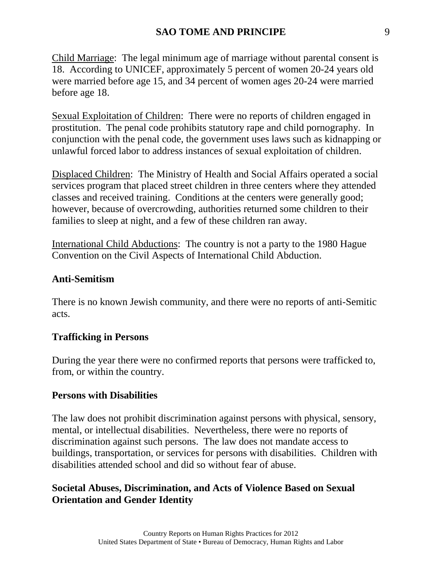Child Marriage: The legal minimum age of marriage without parental consent is 18. According to UNICEF, approximately 5 percent of women 20-24 years old were married before age 15, and 34 percent of women ages 20-24 were married before age 18.

Sexual Exploitation of Children: There were no reports of children engaged in prostitution. The penal code prohibits statutory rape and child pornography. In conjunction with the penal code, the government uses laws such as kidnapping or unlawful forced labor to address instances of sexual exploitation of children.

Displaced Children: The Ministry of Health and Social Affairs operated a social services program that placed street children in three centers where they attended classes and received training. Conditions at the centers were generally good; however, because of overcrowding, authorities returned some children to their families to sleep at night, and a few of these children ran away.

International Child Abductions: The country is not a party to the 1980 Hague Convention on the Civil Aspects of International Child Abduction.

## **Anti-Semitism**

There is no known Jewish community, and there were no reports of anti-Semitic acts.

## **Trafficking in Persons**

During the year there were no confirmed reports that persons were trafficked to, from, or within the country.

#### **Persons with Disabilities**

The law does not prohibit discrimination against persons with physical, sensory, mental, or intellectual disabilities. Nevertheless, there were no reports of discrimination against such persons. The law does not mandate access to buildings, transportation, or services for persons with disabilities. Children with disabilities attended school and did so without fear of abuse.

## **Societal Abuses, Discrimination, and Acts of Violence Based on Sexual Orientation and Gender Identity**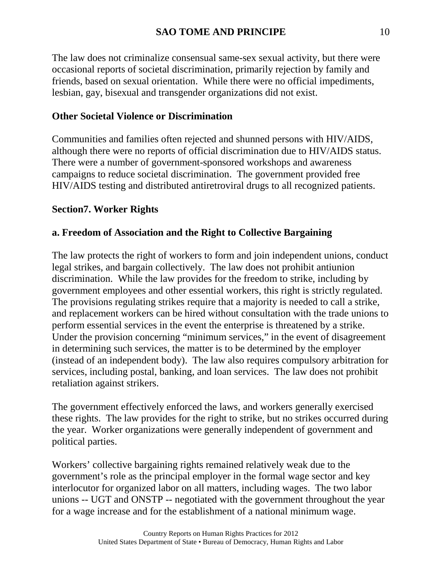The law does not criminalize consensual same-sex sexual activity, but there were occasional reports of societal discrimination, primarily rejection by family and friends, based on sexual orientation. While there were no official impediments, lesbian, gay, bisexual and transgender organizations did not exist.

## **Other Societal Violence or Discrimination**

Communities and families often rejected and shunned persons with HIV/AIDS, although there were no reports of official discrimination due to HIV/AIDS status. There were a number of government-sponsored workshops and awareness campaigns to reduce societal discrimination. The government provided free HIV/AIDS testing and distributed antiretroviral drugs to all recognized patients.

#### **Section7. Worker Rights**

### **a. Freedom of Association and the Right to Collective Bargaining**

The law protects the right of workers to form and join independent unions, conduct legal strikes, and bargain collectively. The law does not prohibit antiunion discrimination. While the law provides for the freedom to strike, including by government employees and other essential workers, this right is strictly regulated. The provisions regulating strikes require that a majority is needed to call a strike, and replacement workers can be hired without consultation with the trade unions to perform essential services in the event the enterprise is threatened by a strike. Under the provision concerning "minimum services," in the event of disagreement in determining such services, the matter is to be determined by the employer (instead of an independent body). The law also requires compulsory arbitration for services, including postal, banking, and loan services. The law does not prohibit retaliation against strikers.

The government effectively enforced the laws, and workers generally exercised these rights. The law provides for the right to strike, but no strikes occurred during the year. Worker organizations were generally independent of government and political parties.

Workers' collective bargaining rights remained relatively weak due to the government's role as the principal employer in the formal wage sector and key interlocutor for organized labor on all matters, including wages. The two labor unions -- UGT and ONSTP -- negotiated with the government throughout the year for a wage increase and for the establishment of a national minimum wage.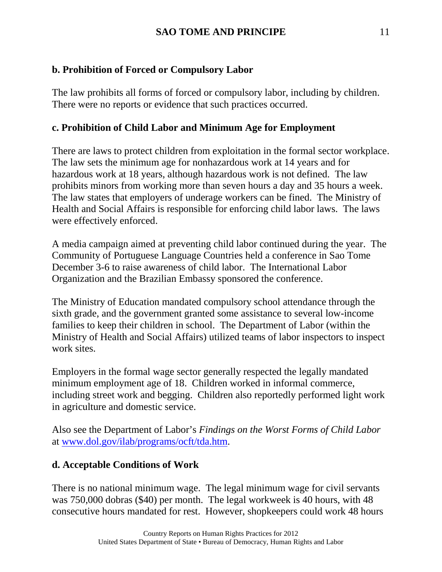# **b. Prohibition of Forced or Compulsory Labor**

The law prohibits all forms of forced or compulsory labor, including by children. There were no reports or evidence that such practices occurred.

# **c. Prohibition of Child Labor and Minimum Age for Employment**

There are laws to protect children from exploitation in the formal sector workplace. The law sets the minimum age for nonhazardous work at 14 years and for hazardous work at 18 years, although hazardous work is not defined. The law prohibits minors from working more than seven hours a day and 35 hours a week. The law states that employers of underage workers can be fined. The Ministry of Health and Social Affairs is responsible for enforcing child labor laws. The laws were effectively enforced.

A media campaign aimed at preventing child labor continued during the year. The Community of Portuguese Language Countries held a conference in Sao Tome December 3-6 to raise awareness of child labor. The International Labor Organization and the Brazilian Embassy sponsored the conference.

The Ministry of Education mandated compulsory school attendance through the sixth grade, and the government granted some assistance to several low-income families to keep their children in school. The Department of Labor (within the Ministry of Health and Social Affairs) utilized teams of labor inspectors to inspect work sites.

Employers in the formal wage sector generally respected the legally mandated minimum employment age of 18. Children worked in informal commerce, including street work and begging. Children also reportedly performed light work in agriculture and domestic service.

Also see the Department of Labor's *Findings on the Worst Forms of Child Labor* at [www.dol.gov/ilab/programs/ocft/tda.htm.](http://www.dol.gov/ilab/programs/ocft/tda.htm)

# **d. Acceptable Conditions of Work**

There is no national minimum wage. The legal minimum wage for civil servants was 750,000 dobras (\$40) per month. The legal workweek is 40 hours, with 48 consecutive hours mandated for rest. However, shopkeepers could work 48 hours